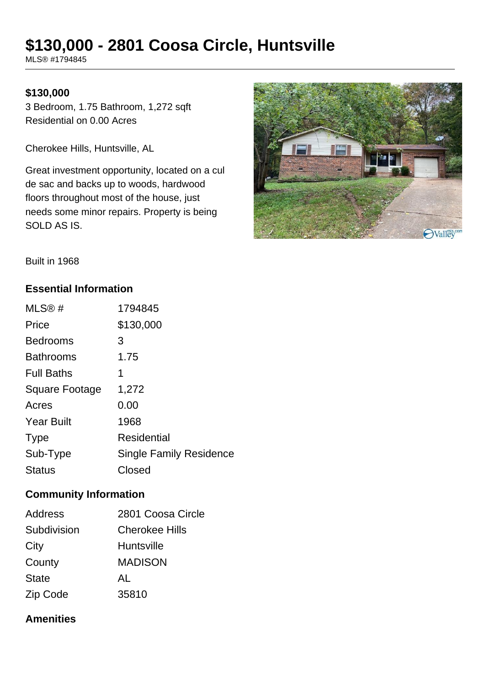# **\$130,000 - 2801 Coosa Circle, Huntsville**

MLS® #1794845

#### **\$130,000**

3 Bedroom, 1.75 Bathroom, 1,272 sqft Residential on 0.00 Acres

Cherokee Hills, Huntsville, AL

Great investment opportunity, located on a cul de sac and backs up to woods, hardwood floors throughout most of the house, just needs some minor repairs. Property is being SOLD AS IS.



Built in 1968

#### **Essential Information**

| MLS@#                 | 1794845                        |
|-----------------------|--------------------------------|
| Price                 | \$130,000                      |
| <b>Bedrooms</b>       | 3                              |
| <b>Bathrooms</b>      | 1.75                           |
| <b>Full Baths</b>     | 1                              |
| <b>Square Footage</b> | 1,272                          |
| Acres                 | 0.00                           |
| <b>Year Built</b>     | 1968                           |
| <b>Type</b>           | Residential                    |
| Sub-Type              | <b>Single Family Residence</b> |
| <b>Status</b>         | Closed                         |

#### **Community Information**

| <b>Address</b> | 2801 Coosa Circle     |
|----------------|-----------------------|
| Subdivision    | <b>Cherokee Hills</b> |
| City           | <b>Huntsville</b>     |
| County         | <b>MADISON</b>        |
| <b>State</b>   | AL                    |
| Zip Code       | 35810                 |

#### **Amenities**